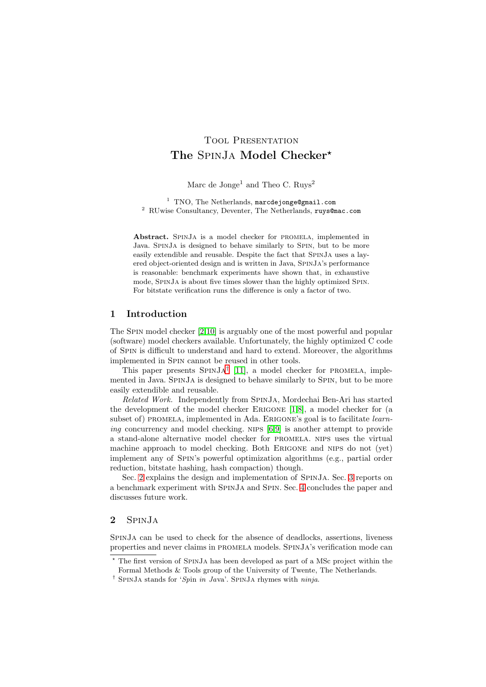# TOOL PRESENTATION The SPINJA Model Checker<sup>\*</sup>

Marc de Jonge<sup>1</sup> and Theo C.  $Ruvs<sup>2</sup>$ 

<sup>1</sup> TNO, The Netherlands, marcdejonge@gmail.com <sup>2</sup> RUwise Consultancy, Deventer, The Netherlands, ruys@mac.com

Abstract. SpinJa is a model checker for promela, implemented in Java. SpinJa is designed to behave similarly to Spin, but to be more easily extendible and reusable. Despite the fact that SpinJa uses a layered object-oriented design and is written in Java, SpinJa's performance is reasonable: benchmark experiments have shown that, in exhaustive mode, SpinJa is about five times slower than the highly optimized Spin. For bitstate verification runs the difference is only a factor of two.

## 1 Introduction

The Spin model checker [\[2,](#page-4-0)[10\]](#page-4-1) is arguably one of the most powerful and popular (software) model checkers available. Unfortunately, the highly optimized C code of Spin is difficult to understand and hard to extend. Moreover, the algorithms implemented in Spin cannot be reused in other tools.

This paper presents  $SPINJA^{\dagger}$  [\[11\]](#page-4-2), a model checker for PROMELA, implemented in Java. SpinJa is designed to behave similarly to Spin, but to be more easily extendible and reusable.

Related Work. Independently from SpinJa, Mordechai Ben-Ari has started the development of the model checker Erigone [\[1,](#page-4-3)[8\]](#page-4-4), a model checker for (a subset of) PROMELA, implemented in Ada. ERIGONE's goal is to facilitate *learn*-ing concurrency and model checking. NIPS [\[6](#page-4-5)[,9\]](#page-4-6) is another attempt to provide a stand-alone alternative model checker for promela. nips uses the virtual machine approach to model checking. Both Erigone and nips do not (yet) implement any of Spin's powerful optimization algorithms (e.g., partial order reduction, bitstate hashing, hash compaction) though.

Sec. [2](#page-0-1) explains the design and implementation of SpinJa. Sec. [3](#page-3-0) reports on a benchmark experiment with SpinJa and Spin. Sec. [4](#page-4-7) concludes the paper and discusses future work.

# <span id="page-0-1"></span>2 SpinJa

SpinJa can be used to check for the absence of deadlocks, assertions, liveness properties and never claims in promela models. SpinJa's verification mode can

<sup>⋆</sup> The first version of SpinJa has been developed as part of a MSc project within the Formal Methods & Tools group of the University of Twente, The Netherlands.

<span id="page-0-0"></span><sup>†</sup> SpinJa stands for 'Spin in Java'. SpinJa rhymes with ninja.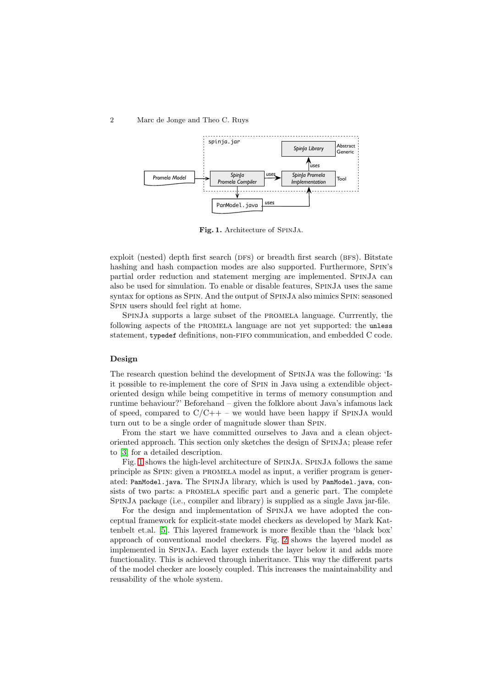#### 2 Marc de Jonge and Theo C. Ruys



<span id="page-1-0"></span>Fig. 1. Architecture of SpinJa.

exploit (nested) depth first search (DFS) or breadth first search (BFS). Bitstate hashing and hash compaction modes are also supported. Furthermore, Spin's partial order reduction and statement merging are implemented. SpinJa can also be used for simulation. To enable or disable features, SpinJa uses the same syntax for options as SPIN. And the output of SPINJA also mimics SPIN: seasoned SPIN users should feel right at home.

SpinJa supports a large subset of the promela language. Currrently, the following aspects of the promela language are not yet supported: the unless statement, typedef definitions, non-fifo communication, and embedded C code.

#### Design

The research question behind the development of SpinJa was the following: 'Is it possible to re-implement the core of Spin in Java using a extendible objectoriented design while being competitive in terms of memory consumption and runtime behaviour?' Beforehand – given the folklore about Java's infamous lack of speed, compared to  $C/C++$  – we would have been happy if SPINJA would turn out to be a single order of magnitude slower than Spin.

From the start we have committed ourselves to Java and a clean objectoriented approach. This section only sketches the design of SpinJa; please refer to [\[3\]](#page-4-8) for a detailed description.

Fig. [1](#page-1-0) shows the high-level architecture of SpinJa. SpinJa follows the same principle as Spin: given a promela model as input, a verifier program is generated: PanModel.java. The SPINJA library, which is used by PanModel.java, consists of two parts: a PROMELA specific part and a generic part. The complete SpinJa package (i.e., compiler and library) is supplied as a single Java jar-file.

For the design and implementation of SpinJa we have adopted the conceptual framework for explicit-state model checkers as developed by Mark Kattenbelt et.al. [\[5\]](#page-4-9). This layered framework is more flexible than the 'black box' approach of conventional model checkers. Fig. [2](#page-2-0) shows the layered model as implemented in SpinJa. Each layer extends the layer below it and adds more functionality. This is achieved through inheritance. This way the different parts of the model checker are loosely coupled. This increases the maintainability and reusability of the whole system.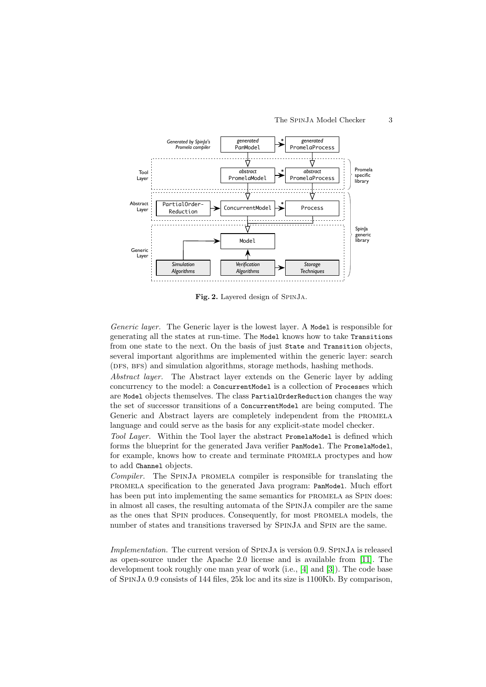

<span id="page-2-0"></span>Fig. 2. Layered design of SpinJa.

Generic layer. The Generic layer is the lowest layer. A Model is responsible for generating all the states at run-time. The Model knows how to take Transitions from one state to the next. On the basis of just State and Transition objects, several important algorithms are implemented within the generic layer: search (DFS, BFS) and simulation algorithms, storage methods, hashing methods.

Abstract layer. The Abstract layer extends on the Generic layer by adding concurrency to the model: a ConcurrentModel is a collection of Processes which are Model objects themselves. The class PartialOrderReduction changes the way the set of successor transitions of a ConcurrentModel are being computed. The Generic and Abstract layers are completely independent from the promela language and could serve as the basis for any explicit-state model checker.

Tool Layer. Within the Tool layer the abstract PromelaModel is defined which forms the blueprint for the generated Java verifier PanModel. The PromelaModel, for example, knows how to create and terminate promela proctypes and how to add Channel objects.

Compiler. The SpinJa promela compiler is responsible for translating the promela specification to the generated Java program: PanModel. Much effort has been put into implementing the same semantics for PROMELA as SPIN does: in almost all cases, the resulting automata of the SpinJa compiler are the same as the ones that Spin produces. Consequently, for most promela models, the number of states and transitions traversed by SpinJa and Spin are the same.

Implementation. The current version of SpinJa is version 0.9. SpinJa is released as open-source under the Apache 2.0 license and is available from [\[11\]](#page-4-2). The development took roughly one man year of work (i.e., [\[4\]](#page-4-10) and [\[3\]](#page-4-8)). The code base of SpinJa 0.9 consists of 144 files, 25k loc and its size is 1100Kb. By comparison,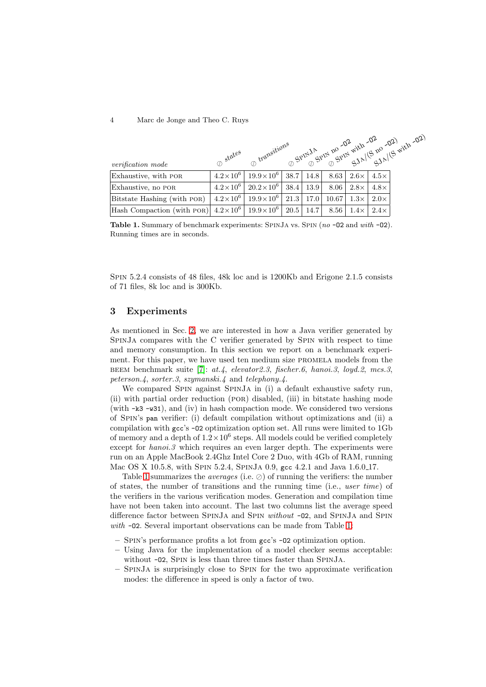#### 4 Marc de Jonge and Theo C. Ruys

|                                                                             |                   |                         |      |      |       | ms SPINJA RPIN 20 -02 with -02 -02 with -02) |             |  |  |
|-----------------------------------------------------------------------------|-------------------|-------------------------|------|------|-------|----------------------------------------------|-------------|--|--|
| <i>verification mode</i>                                                    | $\sigma$ states   | n transitions           |      |      |       |                                              |             |  |  |
| Exhaustive, with POR                                                        | $4.2 \times 10^6$ | $19.9 \times 10^6$      | 38.7 | 14.8 | 8.63  | $2.6\times$                                  | $4.5\times$ |  |  |
| Exhaustive, no POR                                                          | $4.2 \times 10^6$ | $20.2 \times 10^6$      | 38.4 | 13.9 | 8.06  | $2.8\times$                                  | $4.8\times$ |  |  |
| Bitstate Hashing (with POR)                                                 | $4.2 \times 10^6$ | $19.9\times10^{6}$ 21.3 |      | 17.0 | 10.67 | $1.3\times$                                  | $2.0\times$ |  |  |
| Hash Compaction (with POR)  $4.2 \times 10^6$   $19.9 \times 10^6$   $20.5$ |                   |                         |      | 14.7 | 8.56  | $1.4\times$                                  | $2.4\times$ |  |  |

<span id="page-3-1"></span>Table 1. Summary of benchmark experiments: SPINJA vs. SPIN  $(no -O2$  and with  $-O2)$ . Running times are in seconds.

Spin 5.2.4 consists of 48 files, 48k loc and is 1200Kb and Erigone 2.1.5 consists of 71 files, 8k loc and is 300Kb.

# <span id="page-3-0"></span>3 Experiments

As mentioned in Sec. [2,](#page-0-1) we are interested in how a Java verifier generated by SpinJa compares with the C verifier generated by Spin with respect to time and memory consumption. In this section we report on a benchmark experiment. For this paper, we have used ten medium size promela models from the beem benchmark suite [\[7\]](#page-4-11): at.4, elevator2.3, fischer.6, hanoi.3, loyd.2, mcs.3, peterson.4, sorter.3, szymanski.4 and telephony.4.

We compared SPIN against SPINJA in (i) a default exhaustive safety run, (ii) with partial order reduction (por) disabled, (iii) in bitstate hashing mode (with -k3 -w31), and (iv) in hash compaction mode. We considered two versions of Spin's pan verifier: (i) default compilation without optimizations and (ii) a compilation with gcc's -O2 optimization option set. All runs were limited to 1Gb of memory and a depth of  $1.2 \times 10^6$  steps. All models could be verified completely except for *hanoi.3* which requires an even larger depth. The experiments were run on an Apple MacBook 2.4Ghz Intel Core 2 Duo, with 4Gb of RAM, running Mac OS X 10.5.8, with SPIN 5.2.4, SPINJA 0.9, gcc 4.2.1 and Java 1.6.0.17.

Table [1](#page-3-1) summarizes the *averages* (i.e.  $\oslash$ ) of running the verifiers: the number of states, the number of transitions and the running time (i.e., user time) of the verifiers in the various verification modes. Generation and compilation time have not been taken into account. The last two columns list the average speed difference factor between SPINJA and SPIN *without* -02, and SPINJA and SPIN with  $-02$ . Several important observations can be made from Table [1:](#page-3-1)

- Spin's performance profits a lot from gcc's -O2 optimization option.
- Using Java for the implementation of a model checker seems acceptable: without  $-02$ , SPIN is less than three times faster than SPINJA.
- SpinJa is surprisingly close to Spin for the two approximate verification modes: the difference in speed is only a factor of two.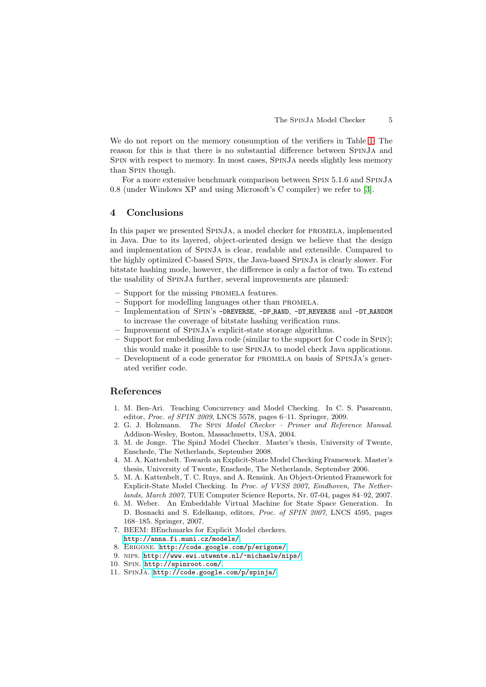We do not report on the memory consumption of the verifiers in Table [1.](#page-3-1) The reason for this is that there is no substantial difference between SpinJa and Spin with respect to memory. In most cases, SpinJa needs slightly less memory than Spin though.

For a more extensive benchmark comparison between Spin 5.1.6 and SpinJa 0.8 (under Windows XP and using Microsoft's C compiler) we refer to [\[3\]](#page-4-8).

# <span id="page-4-7"></span>4 Conclusions

In this paper we presented SpinJa, a model checker for promela, implemented in Java. Due to its layered, object-oriented design we believe that the design and implementation of SpinJa is clear, readable and extensible. Compared to the highly optimized C-based Spin, the Java-based SpinJa is clearly slower. For bitstate hashing mode, however, the difference is only a factor of two. To extend the usability of SpinJa further, several improvements are planned:

- Support for the missing promela features.
- Support for modelling languages other than promela.
- Implementation of Spin's -DREVERSE, -DP RAND, -DT REVERSE and -DT RANDOM to increase the coverage of bitstate hashing verification runs.
- Improvement of SpinJa's explicit-state storage algorithms.
- Support for embedding Java code (similar to the support for C code in Spin); this would make it possible to use SpinJa to model check Java applications.
- Development of a code generator for promela on basis of SpinJa's generated verifier code.

# <span id="page-4-3"></span>References

- 1. M. Ben-Ari. Teaching Concurrency and Model Checking. In C. S. Pasareanu, editor, Proc. of SPIN 2009, LNCS 5578, pages 6–11. Springer, 2009.
- <span id="page-4-0"></span>2. G. J. Holzmann. The Spin Model Checker – Primer and Reference Manual. Addison-Wesley, Boston, Massachusetts, USA, 2004.
- <span id="page-4-8"></span>3. M. de Jonge. The SpinJ Model Checker. Master's thesis, University of Twente, Enschede, The Netherlands, September 2008.
- <span id="page-4-10"></span>4. M. A. Kattenbelt. Towards an Explicit-State Model Checking Framework. Master's thesis, University of Twente, Enschede, The Netherlands, September 2006.
- <span id="page-4-9"></span>5. M. A. Kattenbelt, T. C. Ruys, and A. Rensink. An Object-Oriented Framework for Explicit-State Model Checking. In Proc. of VVSS 2007, Eindhoven, The Netherlands, March 2007, TUE Computer Science Reports, Nr. 07-04, pages 84–92, 2007.
- <span id="page-4-5"></span>6. M. Weber. An Embeddable Virtual Machine for State Space Generation. In D. Bosnacki and S. Edelkamp, editors, Proc. of SPIN 2007, LNCS 4595, pages 168–185. Springer, 2007.
- <span id="page-4-11"></span>7. BEEM: BEnchmarks for Explicit Model checkers. <http://anna.fi.muni.cz/models/>.
- <span id="page-4-6"></span><span id="page-4-4"></span>8. Erigone. <http://code.google.com/p/erigone/>.
- <span id="page-4-1"></span>9. nips. <http://www.ewi.utwente.nl/~michaelw/nips/>.
- <span id="page-4-2"></span>10. Spin. <http://spinroot.com/>.
- 11. SpinJa. <http://code.google.com/p/spinja/>.